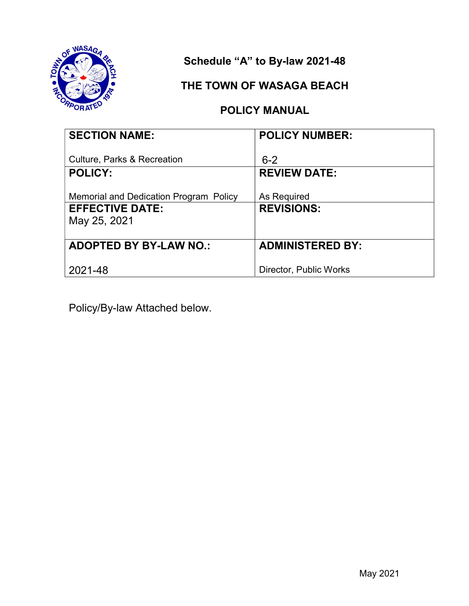

Schedule "A" to By-law 2021-48

### THE TOWN OF WASAGA BEACH

### POLICY MANUAL

| <b>SECTION NAME:</b>                                     | <b>POLICY NUMBER:</b>          |
|----------------------------------------------------------|--------------------------------|
| <b>Culture, Parks &amp; Recreation</b><br><b>POLICY:</b> | $6 - 2$<br><b>REVIEW DATE:</b> |
|                                                          |                                |
| <b>Memorial and Dedication Program Policy</b>            | As Required                    |
| <b>EFFECTIVE DATE:</b>                                   | <b>REVISIONS:</b>              |
| May 25, 2021                                             |                                |
|                                                          |                                |
| <b>ADOPTED BY BY-LAW NO.:</b>                            | <b>ADMINISTERED BY:</b>        |
|                                                          |                                |
| 2021-48                                                  | Director, Public Works         |

Policy/By-law Attached below.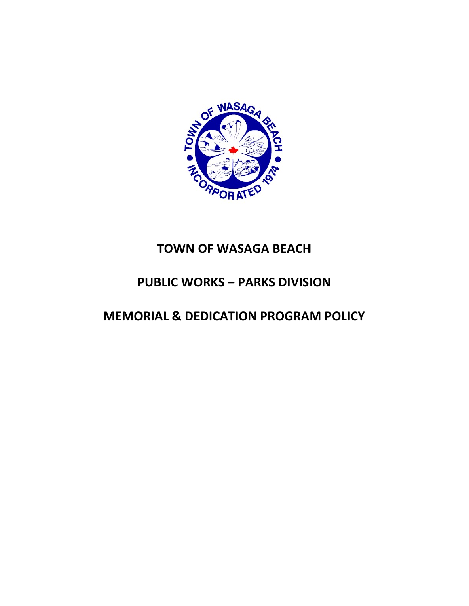

# TOWN OF WASAGA BEACH

# PUBLIC WORKS – PARKS DIVISION

# MEMORIAL & DEDICATION PROGRAM POLICY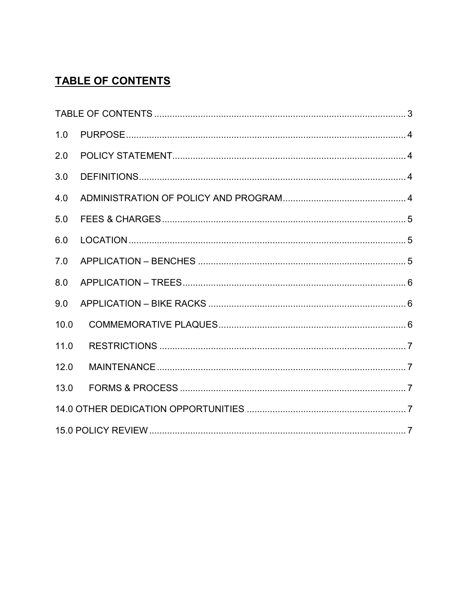## **TABLE OF CONTENTS**

| 1.0  |  |
|------|--|
| 2.0  |  |
| 3.0  |  |
| 4.0  |  |
| 5.0  |  |
| 6.0  |  |
| 7.0  |  |
| 8.0  |  |
| 9.0  |  |
| 10.0 |  |
| 11.0 |  |
| 12.0 |  |
| 13.0 |  |
|      |  |
|      |  |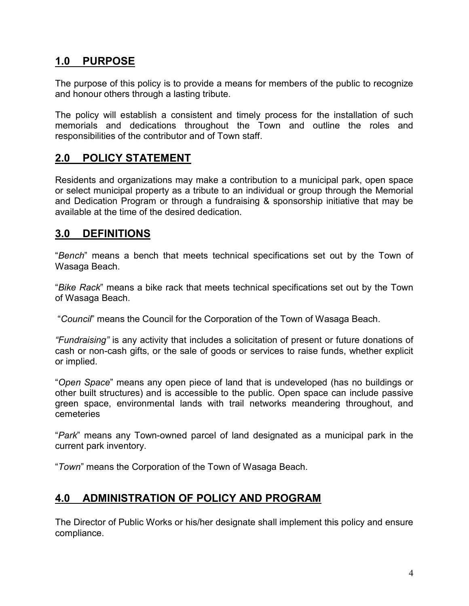#### 1.0 PURPOSE

The purpose of this policy is to provide a means for members of the public to recognize and honour others through a lasting tribute.

The policy will establish a consistent and timely process for the installation of such memorials and dedications throughout the Town and outline the roles and responsibilities of the contributor and of Town staff.

#### 2.0 POLICY STATEMENT

Residents and organizations may make a contribution to a municipal park, open space or select municipal property as a tribute to an individual or group through the Memorial and Dedication Program or through a fundraising & sponsorship initiative that may be available at the time of the desired dedication.

#### 3.0 DEFINITIONS

"Bench" means a bench that meets technical specifications set out by the Town of Wasaga Beach.

"Bike Rack" means a bike rack that meets technical specifications set out by the Town of Wasaga Beach.

"Council" means the Council for the Corporation of the Town of Wasaga Beach.

"Fundraising" is any activity that includes a solicitation of present or future donations of cash or non-cash gifts, or the sale of goods or services to raise funds, whether explicit or implied.

"Open Space" means any open piece of land that is undeveloped (has no buildings or other built structures) and is accessible to the public. Open space can include passive green space, environmental lands with trail networks meandering throughout, and cemeteries

"Park" means any Town-owned parcel of land designated as a municipal park in the current park inventory.

"Town" means the Corporation of the Town of Wasaga Beach.

### 4.0 ADMINISTRATION OF POLICY AND PROGRAM

The Director of Public Works or his/her designate shall implement this policy and ensure compliance.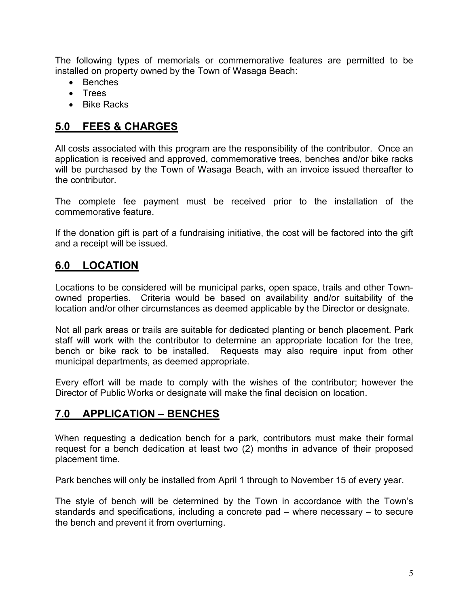The following types of memorials or commemorative features are permitted to be installed on property owned by the Town of Wasaga Beach:

- Benches
- Trees
- Bike Racks

#### 5.0 FEES & CHARGES

All costs associated with this program are the responsibility of the contributor. Once an application is received and approved, commemorative trees, benches and/or bike racks will be purchased by the Town of Wasaga Beach, with an invoice issued thereafter to the contributor.

The complete fee payment must be received prior to the installation of the commemorative feature.

If the donation gift is part of a fundraising initiative, the cost will be factored into the gift and a receipt will be issued.

#### 6.0 LOCATION

Locations to be considered will be municipal parks, open space, trails and other Townowned properties. Criteria would be based on availability and/or suitability of the location and/or other circumstances as deemed applicable by the Director or designate.

Not all park areas or trails are suitable for dedicated planting or bench placement. Park staff will work with the contributor to determine an appropriate location for the tree, bench or bike rack to be installed. Requests may also require input from other municipal departments, as deemed appropriate.

Every effort will be made to comply with the wishes of the contributor; however the Director of Public Works or designate will make the final decision on location.

### 7.0 APPLICATION – BENCHES

When requesting a dedication bench for a park, contributors must make their formal request for a bench dedication at least two (2) months in advance of their proposed placement time.

Park benches will only be installed from April 1 through to November 15 of every year.

The style of bench will be determined by the Town in accordance with the Town's standards and specifications, including a concrete pad – where necessary – to secure the bench and prevent it from overturning.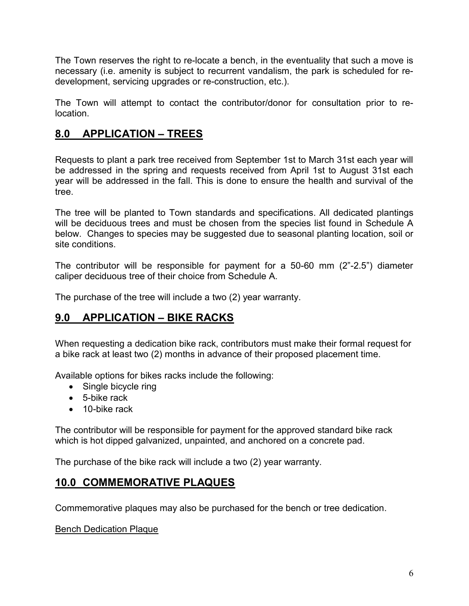The Town reserves the right to re-locate a bench, in the eventuality that such a move is necessary (i.e. amenity is subject to recurrent vandalism, the park is scheduled for redevelopment, servicing upgrades or re-construction, etc.).

The Town will attempt to contact the contributor/donor for consultation prior to relocation.

### 8.0 APPLICATION – TREES

Requests to plant a park tree received from September 1st to March 31st each year will be addressed in the spring and requests received from April 1st to August 31st each year will be addressed in the fall. This is done to ensure the health and survival of the tree.

The tree will be planted to Town standards and specifications. All dedicated plantings will be deciduous trees and must be chosen from the species list found in Schedule A below. Changes to species may be suggested due to seasonal planting location, soil or site conditions.

The contributor will be responsible for payment for a 50-60 mm (2"-2.5") diameter caliper deciduous tree of their choice from Schedule A.

The purchase of the tree will include a two (2) year warranty.

### 9.0 APPLICATION – BIKE RACKS

When requesting a dedication bike rack, contributors must make their formal request for a bike rack at least two (2) months in advance of their proposed placement time.

Available options for bikes racks include the following:

- Single bicycle ring
- 5-bike rack
- 10-bike rack

The contributor will be responsible for payment for the approved standard bike rack which is hot dipped galvanized, unpainted, and anchored on a concrete pad.

The purchase of the bike rack will include a two (2) year warranty.

### 10.0 COMMEMORATIVE PLAQUES

Commemorative plaques may also be purchased for the bench or tree dedication.

Bench Dedication Plaque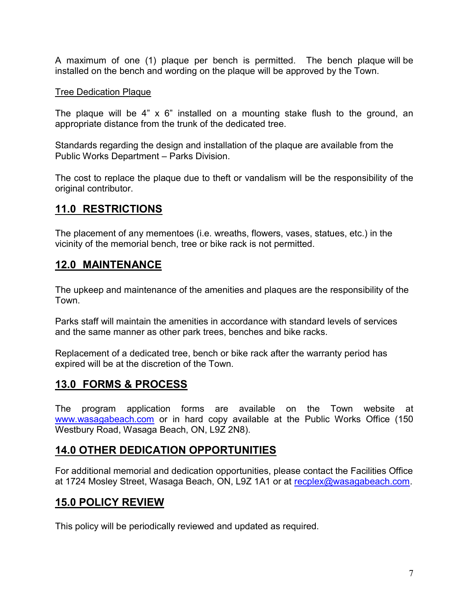A maximum of one (1) plaque per bench is permitted. The bench plaque will be installed on the bench and wording on the plaque will be approved by the Town.

#### Tree Dedication Plaque

The plaque will be 4" x 6" installed on a mounting stake flush to the ground, an appropriate distance from the trunk of the dedicated tree.

Standards regarding the design and installation of the plaque are available from the Public Works Department – Parks Division.

The cost to replace the plaque due to theft or vandalism will be the responsibility of the original contributor.

### 11.0 RESTRICTIONS

The placement of any mementoes (i.e. wreaths, flowers, vases, statues, etc.) in the vicinity of the memorial bench, tree or bike rack is not permitted.

#### 12.0 MAINTENANCE

The upkeep and maintenance of the amenities and plaques are the responsibility of the Town.

Parks staff will maintain the amenities in accordance with standard levels of services and the same manner as other park trees, benches and bike racks.

Replacement of a dedicated tree, bench or bike rack after the warranty period has expired will be at the discretion of the Town.

### 13.0 FORMS & PROCESS

The program application forms are available on the Town website at www.wasagabeach.com or in hard copy available at the Public Works Office (150 Westbury Road, Wasaga Beach, ON, L9Z 2N8).

#### 14.0 OTHER DEDICATION OPPORTUNITIES

For additional memorial and dedication opportunities, please contact the Facilities Office at 1724 Mosley Street, Wasaga Beach, ON, L9Z 1A1 or at recplex@wasagabeach.com.

### 15.0 POLICY REVIEW

This policy will be periodically reviewed and updated as required.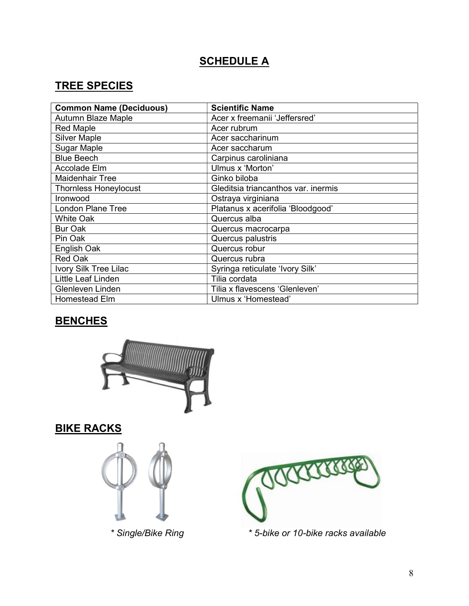## **SCHEDULE A**

### TREE SPECIES

| <b>Common Name (Deciduous)</b> | <b>Scientific Name</b>              |
|--------------------------------|-------------------------------------|
| Autumn Blaze Maple             | Acer x freemanii 'Jeffersred'       |
| <b>Red Maple</b>               | Acer rubrum                         |
| <b>Silver Maple</b>            | Acer saccharinum                    |
| <b>Sugar Maple</b>             | Acer saccharum                      |
| <b>Blue Beech</b>              | Carpinus caroliniana                |
| Accolade Elm                   | Ulmus x 'Morton'                    |
| <b>Maidenhair Tree</b>         | Ginko biloba                        |
| <b>Thornless Honeylocust</b>   | Gleditsia triancanthos var. inermis |
| Ironwood                       | Ostraya virginiana                  |
| <b>London Plane Tree</b>       | Platanus x acerifolia 'Bloodgood'   |
| <b>White Oak</b>               | Quercus alba                        |
| <b>Bur Oak</b>                 | Quercus macrocarpa                  |
| Pin Oak                        | Quercus palustris                   |
| English Oak                    | Quercus robur                       |
| <b>Red Oak</b>                 | Quercus rubra                       |
| Ivory Silk Tree Lilac          | Syringa reticulate 'Ivory Silk'     |
| Little Leaf Linden             | Tilia cordata                       |
| Glenleven Linden               | Tilia x flavescens 'Glenleven'      |
| Homestead Elm                  | Ulmus x 'Homestead'                 |

## **BENCHES**



## **BIKE RACKS**





\* Single/Bike Ring \* 5-bike or 10-bike racks available